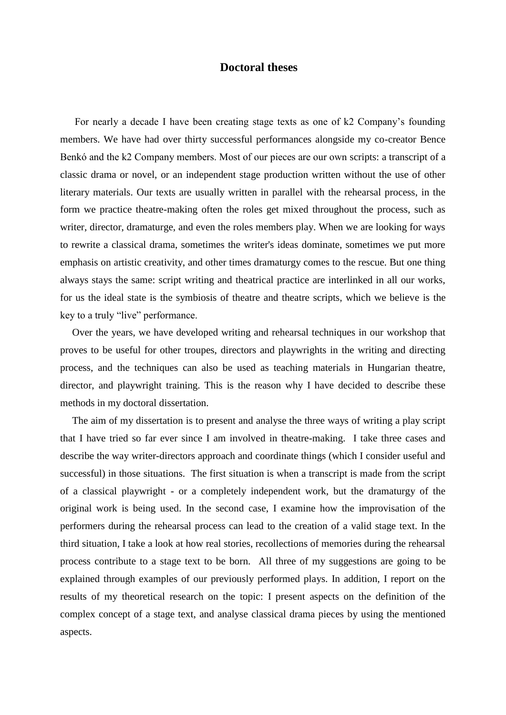## **Doctoral theses**

For nearly a decade I have been creating stage texts as one of k2 Company's founding members. We have had over thirty successful performances alongside my co-creator Bence Benkó and the k2 Company members. Most of our pieces are our own scripts: a transcript of a classic drama or novel, or an independent stage production written without the use of other literary materials. Our texts are usually written in parallel with the rehearsal process, in the form we practice theatre-making often the roles get mixed throughout the process, such as writer, director, dramaturge, and even the roles members play. When we are looking for ways to rewrite a classical drama, sometimes the writer's ideas dominate, sometimes we put more emphasis on artistic creativity, and other times dramaturgy comes to the rescue. But one thing always stays the same: script writing and theatrical practice are interlinked in all our works, for us the ideal state is the symbiosis of theatre and theatre scripts, which we believe is the key to a truly "live" performance.

Over the years, we have developed writing and rehearsal techniques in our workshop that proves to be useful for other troupes, directors and playwrights in the writing and directing process, and the techniques can also be used as teaching materials in Hungarian theatre, director, and playwright training. This is the reason why I have decided to describe these methods in my doctoral dissertation.

The aim of my dissertation is to present and analyse the three ways of writing a play script that I have tried so far ever since I am involved in theatre-making. I take three cases and describe the way writer-directors approach and coordinate things (which I consider useful and successful) in those situations. The first situation is when a transcript is made from the script of a classical playwright - or a completely independent work, but the dramaturgy of the original work is being used. In the second case, I examine how the improvisation of the performers during the rehearsal process can lead to the creation of a valid stage text. In the third situation, I take a look at how real stories, recollections of memories during the rehearsal process contribute to a stage text to be born. All three of my suggestions are going to be explained through examples of our previously performed plays. In addition, I report on the results of my theoretical research on the topic: I present aspects on the definition of the complex concept of a stage text, and analyse classical drama pieces by using the mentioned aspects.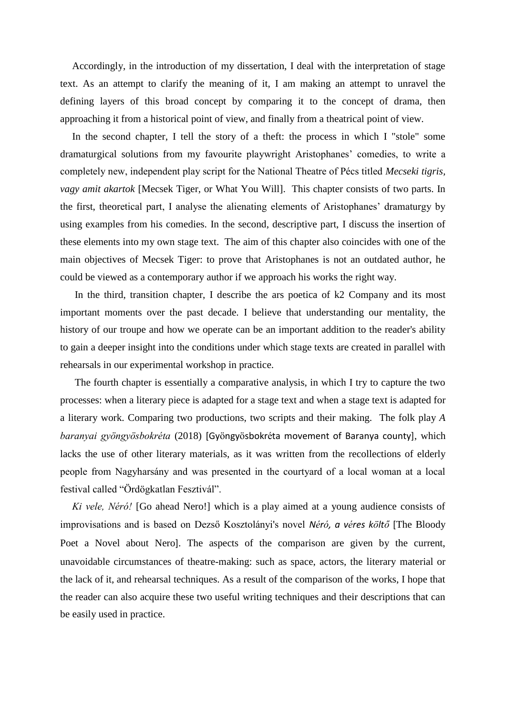Accordingly, in the introduction of my dissertation, I deal with the interpretation of stage text. As an attempt to clarify the meaning of it, I am making an attempt to unravel the defining layers of this broad concept by comparing it to the concept of drama, then approaching it from a historical point of view, and finally from a theatrical point of view.

In the second chapter, I tell the story of a theft: the process in which I "stole" some dramaturgical solutions from my favourite playwright Aristophanes' comedies, to write a completely new, independent play script for the National Theatre of Pécs titled *Mecseki tigris, vagy amit akartok* [Mecsek Tiger, or What You Will]. This chapter consists of two parts. In the first, theoretical part, I analyse the alienating elements of Aristophanes' dramaturgy by using examples from his comedies. In the second, descriptive part, I discuss the insertion of these elements into my own stage text. The aim of this chapter also coincides with one of the main objectives of Mecsek Tiger: to prove that Aristophanes is not an outdated author, he could be viewed as a contemporary author if we approach his works the right way.

In the third, transition chapter, I describe the ars poetica of k2 Company and its most important moments over the past decade. I believe that understanding our mentality, the history of our troupe and how we operate can be an important addition to the reader's ability to gain a deeper insight into the conditions under which stage texts are created in parallel with rehearsals in our experimental workshop in practice.

The fourth chapter is essentially a comparative analysis, in which I try to capture the two processes: when a literary piece is adapted for a stage text and when a stage text is adapted for a literary work. Comparing two productions, two scripts and their making. The folk play *A baranyai gyöngyösbokréta* (2018) [Gyöngyösbokréta movement of Baranya county], which lacks the use of other literary materials, as it was written from the recollections of elderly people from Nagyharsány and was presented in the courtyard of a local woman at a local festival called "Ördögkatlan Fesztivál".

*Ki vele, Néró!* [Go ahead Nero!] which is a play aimed at a young audience consists of improvisations and is based on Dezső Kosztolányi's novel *Néró, a véres költő* [The Bloody Poet a Novel about Nero]. The aspects of the comparison are given by the current, unavoidable circumstances of theatre-making: such as space, actors, the literary material or the lack of it, and rehearsal techniques. As a result of the comparison of the works, I hope that the reader can also acquire these two useful writing techniques and their descriptions that can be easily used in practice.